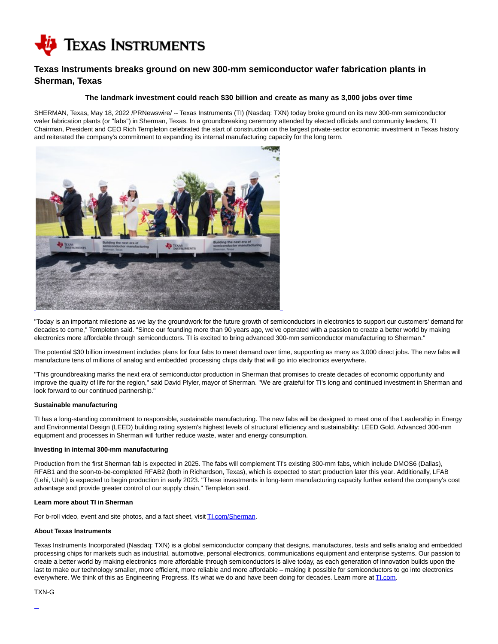

# **Texas Instruments breaks ground on new 300-mm semiconductor wafer fabrication plants in Sherman, Texas**

## **The landmark investment could reach \$30 billion and create as many as 3,000 jobs over time**

SHERMAN, Texas, May 18, 2022 /PRNewswire/ -- Texas Instruments (TI) (Nasdaq: TXN) today broke ground on its new 300-mm semiconductor wafer fabrication plants (or "fabs") in Sherman, Texas. In a groundbreaking ceremony attended by elected officials and community leaders, TI Chairman, President and CEO Rich Templeton celebrated the start of construction on the largest private-sector economic investment in Texas history and reiterated the company's commitment to expanding its internal manufacturing capacity for the long term.



"Today is an important milestone as we lay the groundwork for the future growth of semiconductors in electronics to support our customers' demand for decades to come," Templeton said. "Since our founding more than 90 years ago, we've operated with a passion to create a better world by making electronics more affordable through semiconductors. TI is excited to bring advanced 300-mm semiconductor manufacturing to Sherman."

The potential \$30 billion investment includes plans for four fabs to meet demand over time, supporting as many as 3,000 direct jobs. The new fabs will manufacture tens of millions of analog and embedded processing chips daily that will go into electronics everywhere.

"This groundbreaking marks the next era of semiconductor production in Sherman that promises to create decades of economic opportunity and improve the quality of life for the region," said David Plyler, mayor of Sherman. "We are grateful for TI's long and continued investment in Sherman and look forward to our continued partnership."

#### **Sustainable manufacturing**

TI has a long-standing commitment to responsible, sustainable manufacturing. The new fabs will be designed to meet one of the Leadership in Energy and Environmental Design (LEED) building rating system's highest levels of structural efficiency and sustainability: LEED Gold. Advanced 300-mm equipment and processes in Sherman will further reduce waste, water and energy consumption.

### **Investing in internal 300-mm manufacturing**

Production from the first Sherman fab is expected in 2025. The fabs will complement TI's existing 300-mm fabs, which include DMOS6 (Dallas), RFAB1 and the soon-to-be-completed RFAB2 (both in Richardson, Texas), which is expected to start production later this year. Additionally, LFAB (Lehi, Utah) is expected to begin production in early 2023. "These investments in long-term manufacturing capacity further extend the company's cost advantage and provide greater control of our supply chain," Templeton said.

#### **Learn more about TI in Sherman**

For b-roll video, event and site photos, and a fact sheet, visi[t TI.com/Sherman.](https://c212.net/c/link/?t=0&l=en&o=3541525-1&h=1517689488&u=https%3A%2F%2Fwww.TI.com%2FSherman&a=TI.com%2FSherman)

### **About Texas Instruments**

Texas Instruments Incorporated (Nasdaq: TXN) is a global semiconductor company that designs, manufactures, tests and sells analog and embedded processing chips for markets such as industrial, automotive, personal electronics, communications equipment and enterprise systems. Our passion to create a better world by making electronics more affordable through semiconductors is alive today, as each generation of innovation builds upon the last to make our technology smaller, more efficient, more reliable and more affordable – making it possible for semiconductors to go into electronics everywhere. We think of this as Engineering Progress. It's what we do and have been doing for decades. Learn more at ILcom.

#### TXN-G